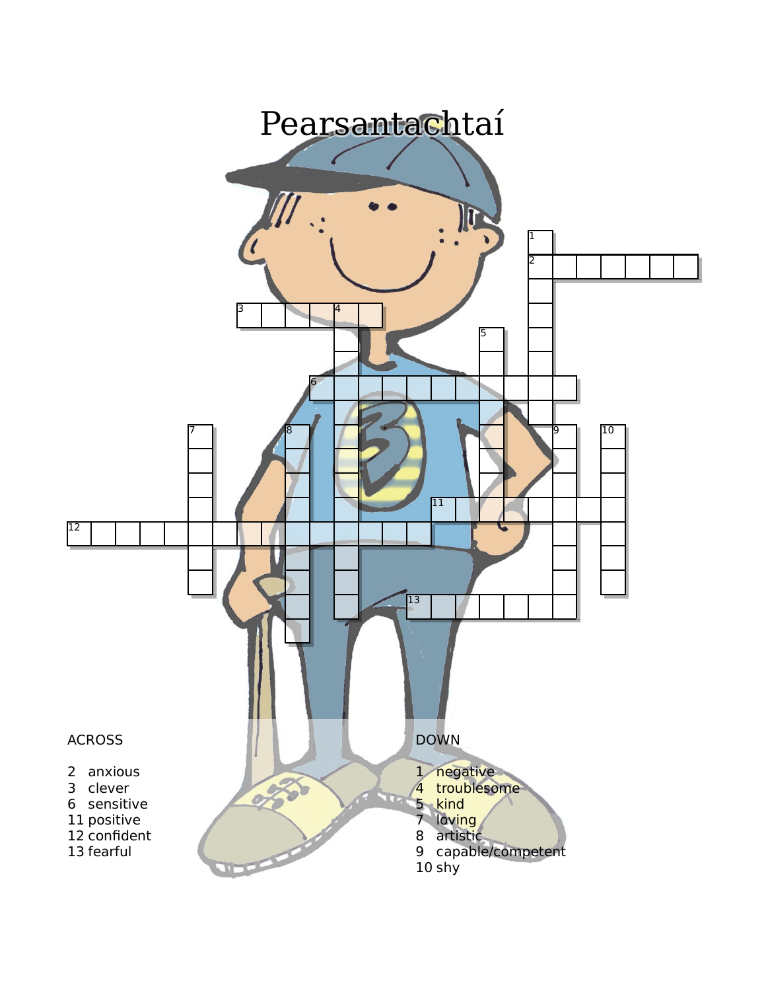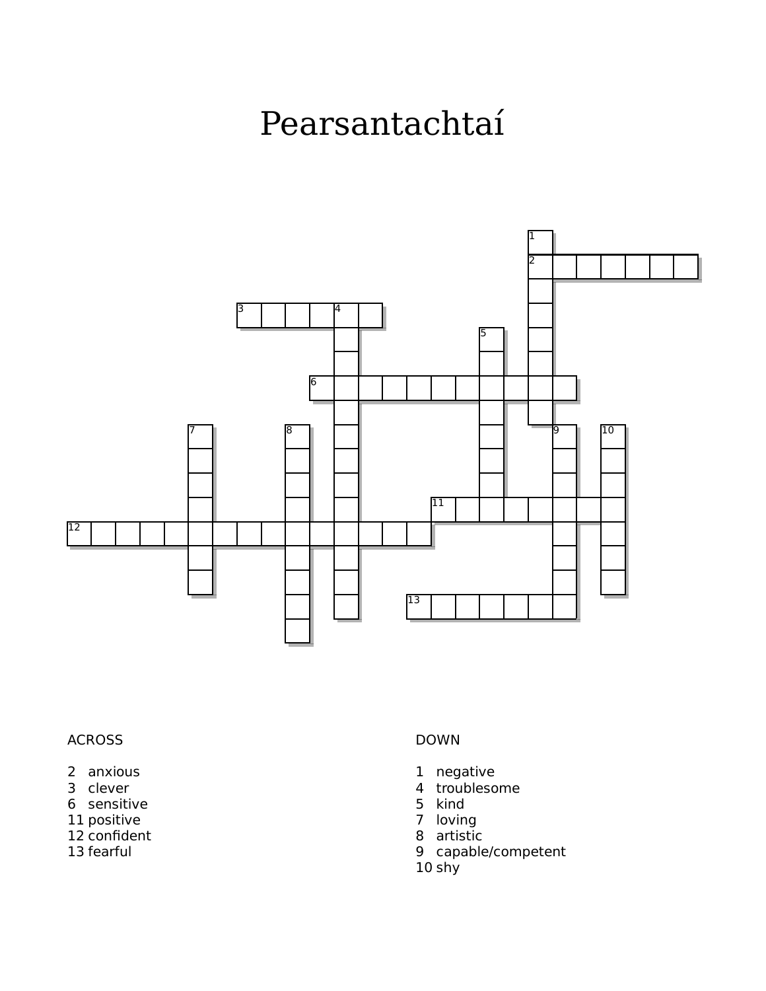## Pearsantachtaí



## ACROSS

- anxious
- clever
- sensitive
- positive
- confident
- fearful

## DOWN

- negative
- troublesome
- kind
- loving
- artistic
- capable/competent

shy